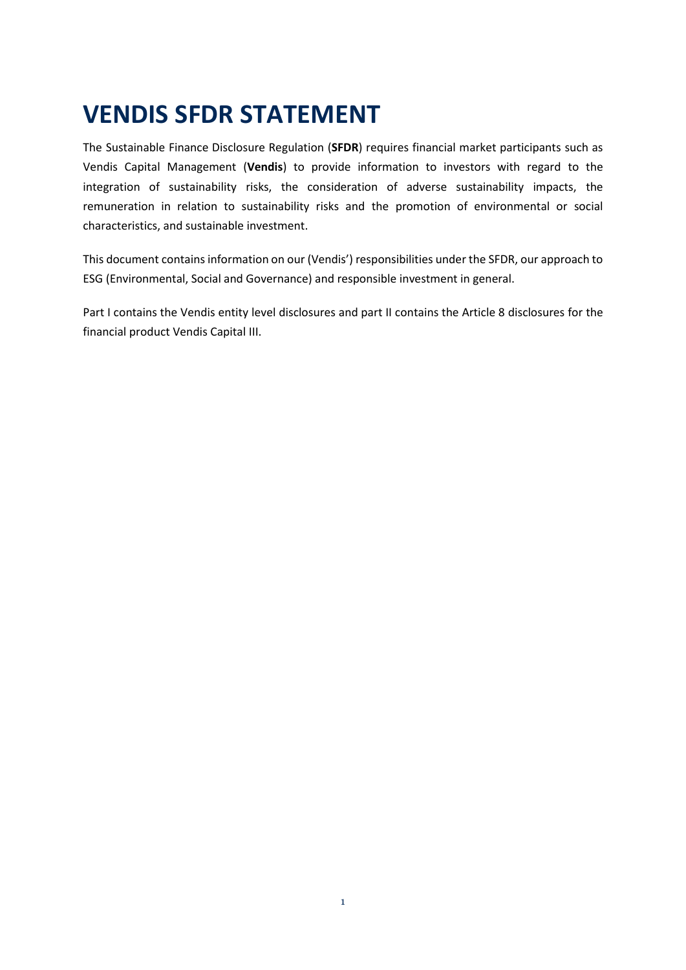# **VENDIS SFDR STATEMENT**

The Sustainable Finance Disclosure Regulation (**SFDR**) requires financial market participants such as Vendis Capital Management (**Vendis**) to provide information to investors with regard to the integration of sustainability risks, the consideration of adverse sustainability impacts, the remuneration in relation to sustainability risks and the promotion of environmental or social characteristics, and sustainable investment.

This document contains information on our (Vendis') responsibilities under the SFDR, our approach to ESG (Environmental, Social and Governance) and responsible investment in general.

Part I contains the Vendis entity level disclosures and part II contains the Article 8 disclosures for the financial product Vendis Capital III.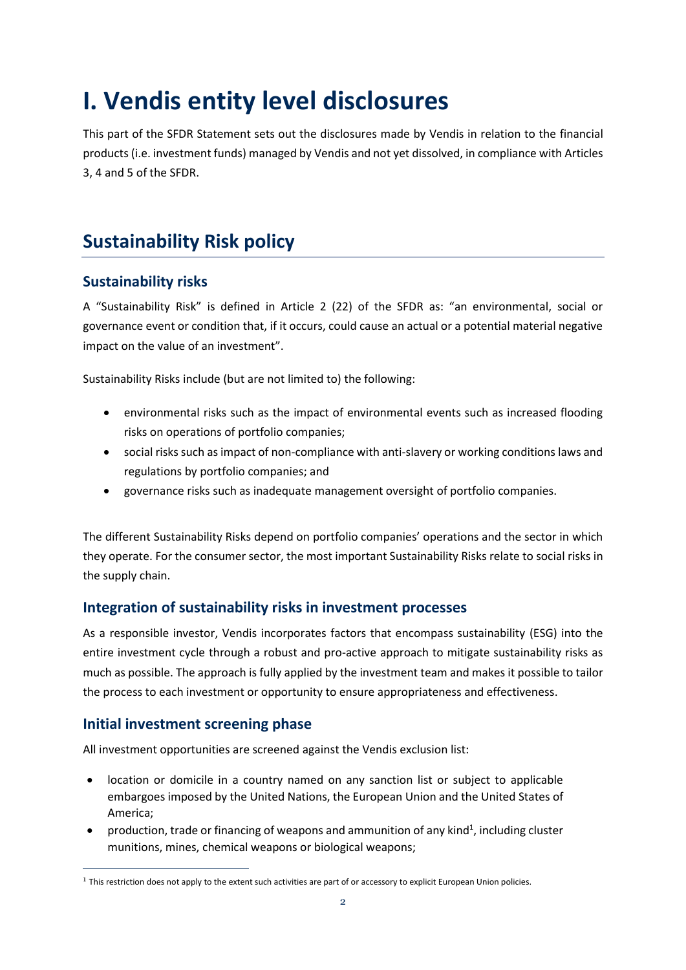# **I. Vendis entity level disclosures**

This part of the SFDR Statement sets out the disclosures made by Vendis in relation to the financial products (i.e. investment funds) managed by Vendis and not yet dissolved, in compliance with Articles 3, 4 and 5 of the SFDR.

# **Sustainability Risk policy**

# **Sustainability risks**

A "Sustainability Risk" is defined in Article 2 (22) of the SFDR as: "an environmental, social or governance event or condition that, if it occurs, could cause an actual or a potential material negative impact on the value of an investment".

Sustainability Risks include (but are not limited to) the following:

- environmental risks such as the impact of environmental events such as increased flooding risks on operations of portfolio companies;
- social risks such as impact of non-compliance with anti-slavery or working conditions laws and regulations by portfolio companies; and
- governance risks such as inadequate management oversight of portfolio companies.

The different Sustainability Risks depend on portfolio companies' operations and the sector in which they operate. For the consumer sector, the most important Sustainability Risks relate to social risks in the supply chain.

# **Integration of sustainability risks in investment processes**

As a responsible investor, Vendis incorporates factors that encompass sustainability (ESG) into the entire investment cycle through a robust and pro-active approach to mitigate sustainability risks as much as possible. The approach is fully applied by the investment team and makes it possible to tailor the process to each investment or opportunity to ensure appropriateness and effectiveness.

# **Initial investment screening phase**

All investment opportunities are screened against the Vendis exclusion list:

- location or domicile in a country named on any sanction list or subject to applicable embargoes imposed by the United Nations, the European Union and the United States of America;
- production, trade or financing of weapons and ammunition of any kind<sup>1</sup>, including cluster munitions, mines, chemical weapons or biological weapons;

<sup>&</sup>lt;sup>1</sup> This restriction does not apply to the extent such activities are part of or accessory to explicit European Union policies.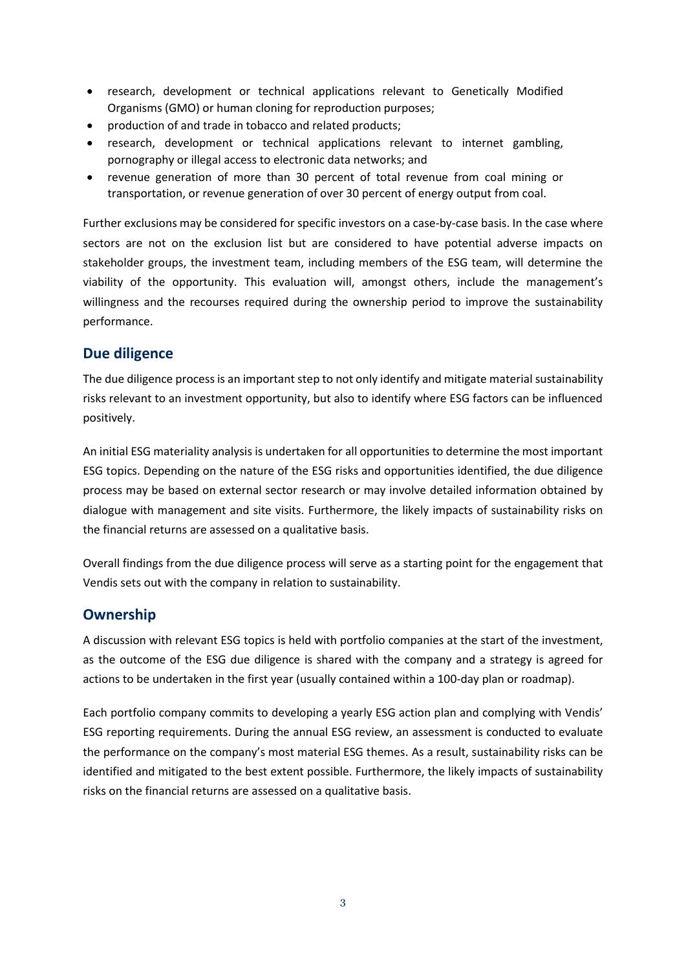- research, development or technical applications relevant to Genetically Modified Organisms (GMO) or human cloning for reproduction purposes;
- production of and trade in tobacco and related products;
- research, development or technical applications relevant to internet gambling, pornography or illegal access to electronic data networks; and
- revenue generation of more than 30 percent of total revenue from coal mining or transportation, or revenue generation of over 30 percent of energy output from coal.

Further exclusions may be considered for specific investors on a case-by-case basis. In the case where sectors are not on the exclusion list but are considered to have potential adverse impacts on stakeholder groups, the investment team, including members of the ESG team, will determine the viability of the opportunity. This evaluation will, amongst others, include the management's willingness and the recourses required during the ownership period to improve the sustainability performance.

# **Due diligence**

The due diligence process is an important step to not only identify and mitigate material sustainability risks relevant to an investment opportunity, but also to identify where ESG factors can be influenced positively.

An initial ESG materiality analysis is undertaken for all opportunities to determine the most important ESG topics. Depending on the nature of the ESG risks and opportunities identified, the due diligence process may be based on external sector research or may involve detailed information obtained by dialogue with management and site visits. Furthermore, the likely impacts of sustainability risks on the financial returns are assessed on a qualitative basis.

Overall findings from the due diligence process will serve as a starting point for the engagement that Vendis sets out with the company in relation to sustainability.

# **Ownership**

A discussion with relevant ESG topics is held with portfolio companies at the start of the investment, as the outcome of the ESG due diligence is shared with the company and a strategy is agreed for actions to be undertaken in the first year (usually contained within a 100-day plan or roadmap).

Each portfolio company commits to developing a yearly ESG action plan and complying with Vendis' ESG reporting requirements. During the annual ESG review, an assessment is conducted to evaluate the performance on the company's most material ESG themes. As a result, sustainability risks can be identified and mitigated to the best extent possible. Furthermore, the likely impacts of sustainability risks on the financial returns are assessed on a qualitative basis.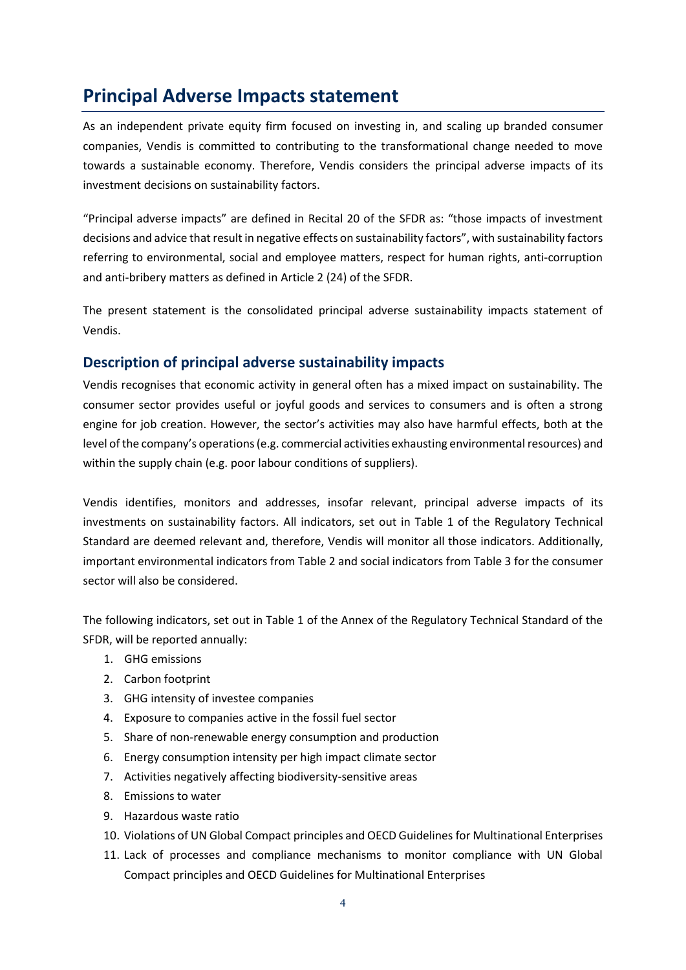# **Principal Adverse Impacts statement**

As an independent private equity firm focused on investing in, and scaling up branded consumer companies, Vendis is committed to contributing to the transformational change needed to move towards a sustainable economy. Therefore, Vendis considers the principal adverse impacts of its investment decisions on sustainability factors.

"Principal adverse impacts" are defined in Recital 20 of the SFDR as: "those impacts of investment decisions and advice that result in negative effects on sustainability factors", with sustainability factors referring to environmental, social and employee matters, respect for human rights, anti‐corruption and anti-bribery matters as defined in Article 2 (24) of the SFDR.

The present statement is the consolidated principal adverse sustainability impacts statement of Vendis.

### **Description of principal adverse sustainability impacts**

Vendis recognises that economic activity in general often has a mixed impact on sustainability. The consumer sector provides useful or joyful goods and services to consumers and is often a strong engine for job creation. However, the sector's activities may also have harmful effects, both at the level of the company's operations (e.g. commercial activities exhausting environmental resources) and within the supply chain (e.g. poor labour conditions of suppliers).

Vendis identifies, monitors and addresses, insofar relevant, principal adverse impacts of its investments on sustainability factors. All indicators, set out in Table 1 of the Regulatory Technical Standard are deemed relevant and, therefore, Vendis will monitor all those indicators. Additionally, important environmental indicators from Table 2 and social indicators from Table 3 for the consumer sector will also be considered.

The following indicators, set out in Table 1 of the Annex of the Regulatory Technical Standard of the SFDR, will be reported annually:

- 1. GHG emissions
- 2. Carbon footprint
- 3. GHG intensity of investee companies
- 4. Exposure to companies active in the fossil fuel sector
- 5. Share of non-renewable energy consumption and production
- 6. Energy consumption intensity per high impact climate sector
- 7. Activities negatively affecting biodiversity-sensitive areas
- 8. Emissions to water
- 9. Hazardous waste ratio
- 10. Violations of UN Global Compact principles and OECD Guidelines for Multinational Enterprises
- 11. Lack of processes and compliance mechanisms to monitor compliance with UN Global Compact principles and OECD Guidelines for Multinational Enterprises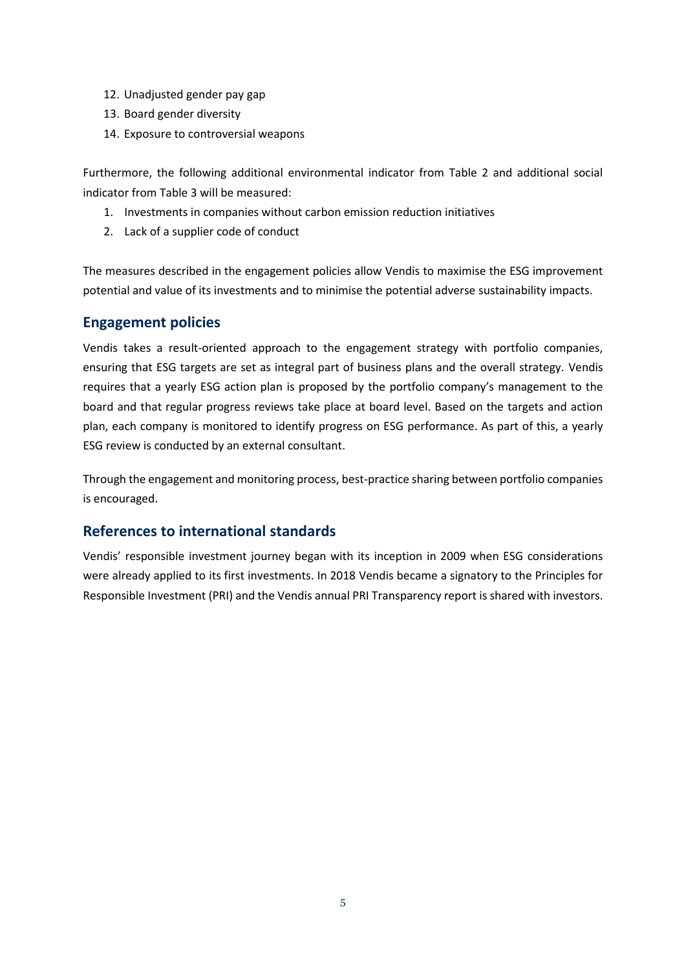- 12. Unadjusted gender pay gap
- 13. Board gender diversity
- 14. Exposure to controversial weapons

Furthermore, the following additional environmental indicator from Table 2 and additional social indicator from Table 3 will be measured:

- 1. Investments in companies without carbon emission reduction initiatives
- 2. Lack of a supplier code of conduct

The measures described in the engagement policies allow Vendis to maximise the ESG improvement potential and value of its investments and to minimise the potential adverse sustainability impacts.

### **Engagement policies**

Vendis takes a result-oriented approach to the engagement strategy with portfolio companies, ensuring that ESG targets are set as integral part of business plans and the overall strategy. Vendis requires that a yearly ESG action plan is proposed by the portfolio company's management to the board and that regular progress reviews take place at board level. Based on the targets and action plan, each company is monitored to identify progress on ESG performance. As part of this, a yearly ESG review is conducted by an external consultant.

Through the engagement and monitoring process, best-practice sharing between portfolio companies is encouraged.

# **References to international standards**

Vendis' responsible investment journey began with its inception in 2009 when ESG considerations were already applied to its first investments. In 2018 Vendis became a signatory to the Principles for Responsible Investment (PRI) and the Vendis annual PRI Transparency report is shared with investors.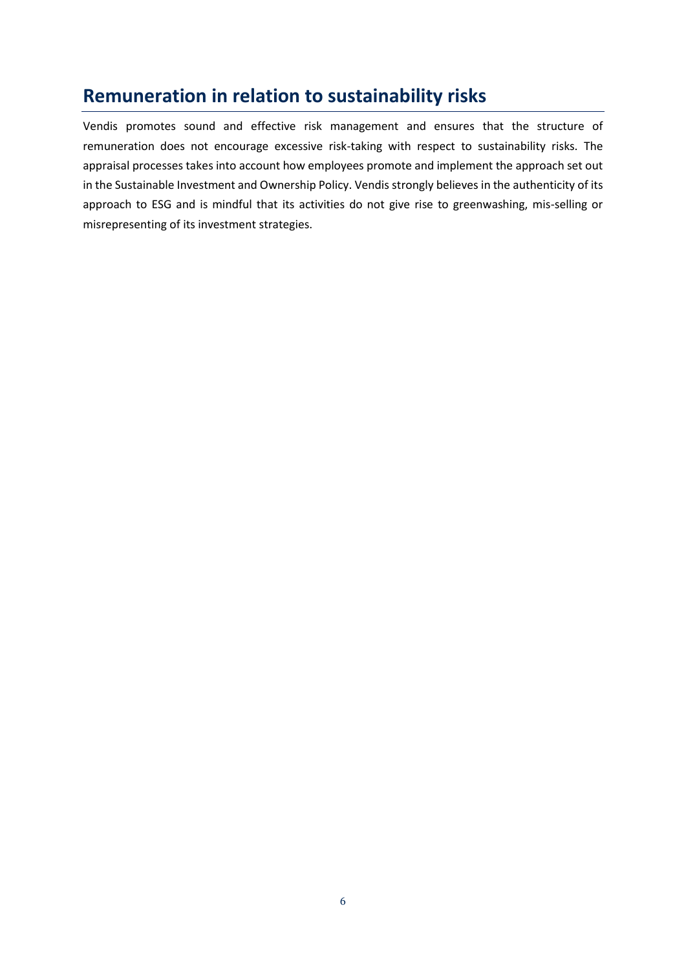# **Remuneration in relation to sustainability risks**

Vendis promotes sound and effective risk management and ensures that the structure of remuneration does not encourage excessive risk-taking with respect to sustainability risks. The appraisal processes takes into account how employees promote and implement the approach set out in the Sustainable Investment and Ownership Policy. Vendis strongly believes in the authenticity of its approach to ESG and is mindful that its activities do not give rise to greenwashing, mis-selling or misrepresenting of its investment strategies.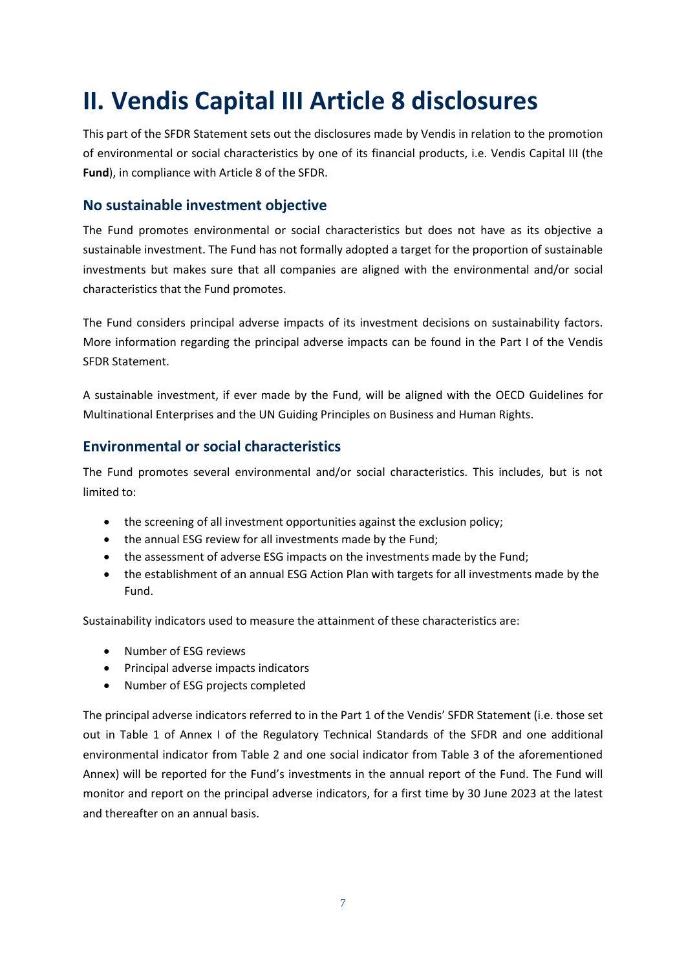# **II. Vendis Capital III Article 8 disclosures**

This part of the SFDR Statement sets out the disclosures made by Vendis in relation to the promotion of environmental or social characteristics by one of its financial products, i.e. Vendis Capital III (the **Fund**), in compliance with Article 8 of the SFDR.

### **No sustainable investment objective**

The Fund promotes environmental or social characteristics but does not have as its objective a sustainable investment. The Fund has not formally adopted a target for the proportion of sustainable investments but makes sure that all companies are aligned with the environmental and/or social characteristics that the Fund promotes.

The Fund considers principal adverse impacts of its investment decisions on sustainability factors. More information regarding the principal adverse impacts can be found in the Part I of the Vendis SFDR Statement.

A sustainable investment, if ever made by the Fund, will be aligned with the OECD Guidelines for Multinational Enterprises and the UN Guiding Principles on Business and Human Rights.

### **Environmental or social characteristics**

The Fund promotes several environmental and/or social characteristics. This includes, but is not limited to:

- the screening of all investment opportunities against the exclusion policy;
- the annual ESG review for all investments made by the Fund;
- the assessment of adverse ESG impacts on the investments made by the Fund;
- the establishment of an annual ESG Action Plan with targets for all investments made by the Fund.

Sustainability indicators used to measure the attainment of these characteristics are:

- Number of ESG reviews
- Principal adverse impacts indicators
- Number of ESG projects completed

The principal adverse indicators referred to in the Part 1 of the Vendis' SFDR Statement (i.e. those set out in Table 1 of Annex I of the Regulatory Technical Standards of the SFDR and one additional environmental indicator from Table 2 and one social indicator from Table 3 of the aforementioned Annex) will be reported for the Fund's investments in the annual report of the Fund. The Fund will monitor and report on the principal adverse indicators, for a first time by 30 June 2023 at the latest and thereafter on an annual basis.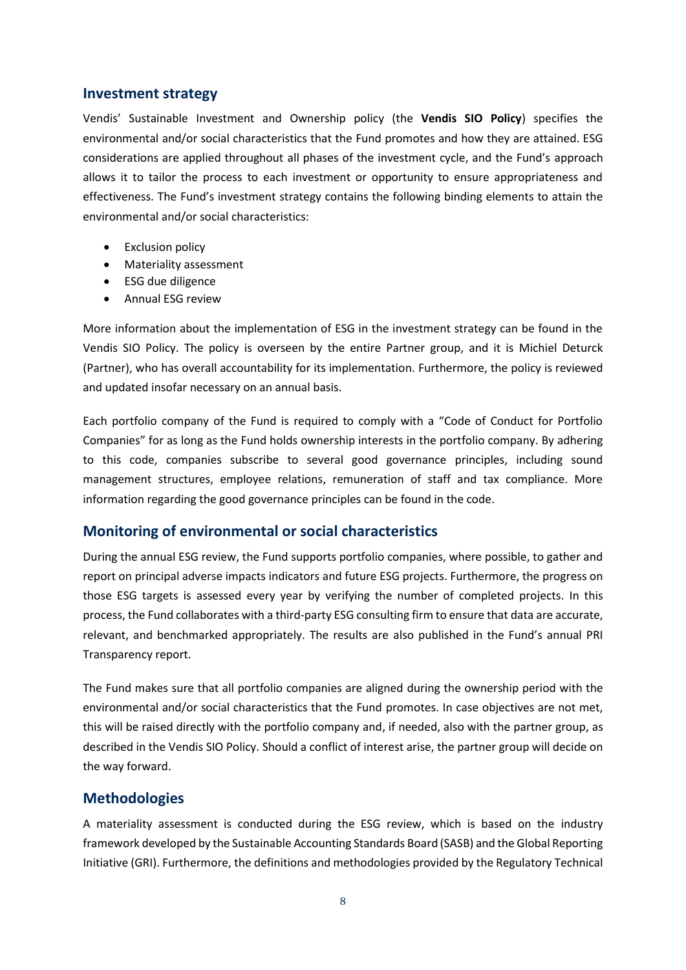#### **Investment strategy**

Vendis' Sustainable Investment and Ownership policy (the **Vendis SIO Policy**) specifies the environmental and/or social characteristics that the Fund promotes and how they are attained. ESG considerations are applied throughout all phases of the investment cycle, and the Fund's approach allows it to tailor the process to each investment or opportunity to ensure appropriateness and effectiveness. The Fund's investment strategy contains the following binding elements to attain the environmental and/or social characteristics:

- Exclusion policy
- Materiality assessment
- ESG due diligence
- Annual ESG review

More information about the implementation of ESG in the investment strategy can be found in the Vendis SIO Policy. The policy is overseen by the entire Partner group, and it is Michiel Deturck (Partner), who has overall accountability for its implementation. Furthermore, the policy is reviewed and updated insofar necessary on an annual basis.

Each portfolio company of the Fund is required to comply with a "Code of Conduct for Portfolio Companies" for as long as the Fund holds ownership interests in the portfolio company. By adhering to this code, companies subscribe to several good governance principles, including sound management structures, employee relations, remuneration of staff and tax compliance. More information regarding the good governance principles can be found in the code.

### **Monitoring of environmental or social characteristics**

During the annual ESG review, the Fund supports portfolio companies, where possible, to gather and report on principal adverse impacts indicators and future ESG projects. Furthermore, the progress on those ESG targets is assessed every year by verifying the number of completed projects. In this process, the Fund collaborates with a third-party ESG consulting firm to ensure that data are accurate, relevant, and benchmarked appropriately. The results are also published in the Fund's annual PRI Transparency report.

The Fund makes sure that all portfolio companies are aligned during the ownership period with the environmental and/or social characteristics that the Fund promotes. In case objectives are not met, this will be raised directly with the portfolio company and, if needed, also with the partner group, as described in the Vendis SIO Policy. Should a conflict of interest arise, the partner group will decide on the way forward.

### **Methodologies**

A materiality assessment is conducted during the ESG review, which is based on the industry framework developed by the Sustainable Accounting Standards Board (SASB) and the Global Reporting Initiative (GRI). Furthermore, the definitions and methodologies provided by the Regulatory Technical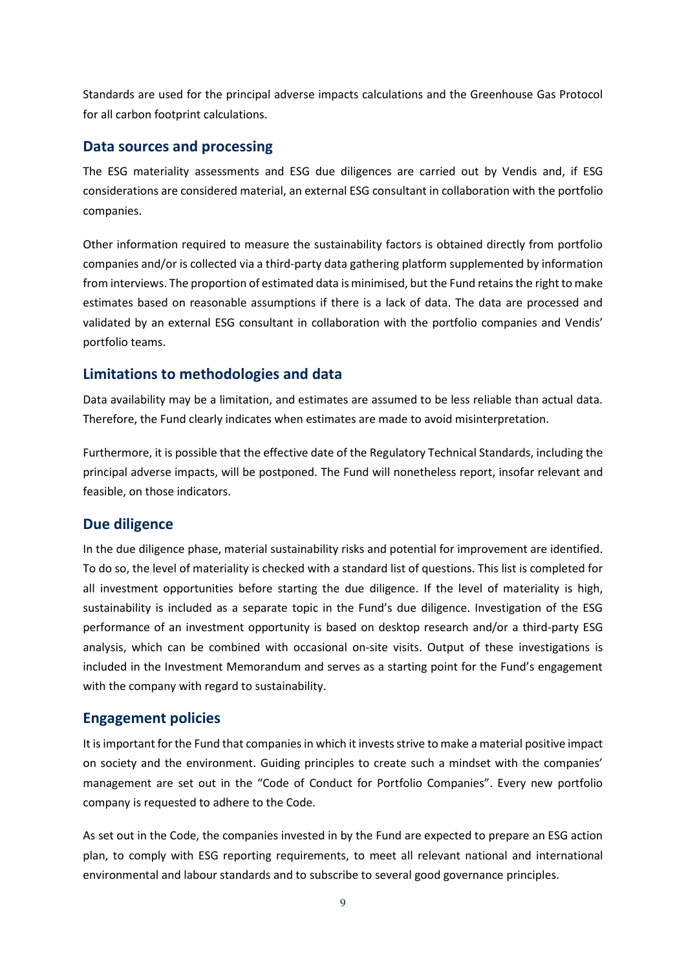Standards are used for the principal adverse impacts calculations and the Greenhouse Gas Protocol for all carbon footprint calculations.

### **Data sources and processing**

The ESG materiality assessments and ESG due diligences are carried out by Vendis and, if ESG considerations are considered material, an external ESG consultant in collaboration with the portfolio companies.

Other information required to measure the sustainability factors is obtained directly from portfolio companies and/or is collected via a third-party data gathering platform supplemented by information from interviews. The proportion of estimated data is minimised, but the Fund retains the right to make estimates based on reasonable assumptions if there is a lack of data. The data are processed and validated by an external ESG consultant in collaboration with the portfolio companies and Vendis' portfolio teams.

# **Limitations to methodologies and data**

Data availability may be a limitation, and estimates are assumed to be less reliable than actual data. Therefore, the Fund clearly indicates when estimates are made to avoid misinterpretation.

Furthermore, it is possible that the effective date of the Regulatory Technical Standards, including the principal adverse impacts, will be postponed. The Fund will nonetheless report, insofar relevant and feasible, on those indicators.

### **Due diligence**

In the due diligence phase, material sustainability risks and potential for improvement are identified. To do so, the level of materiality is checked with a standard list of questions. This list is completed for all investment opportunities before starting the due diligence. If the level of materiality is high, sustainability is included as a separate topic in the Fund's due diligence. Investigation of the ESG performance of an investment opportunity is based on desktop research and/or a third-party ESG analysis, which can be combined with occasional on-site visits. Output of these investigations is included in the Investment Memorandum and serves as a starting point for the Fund's engagement with the company with regard to sustainability.

# **Engagement policies**

It is important for the Fund that companies in which it invests strive to make a material positive impact on society and the environment. Guiding principles to create such a mindset with the companies' management are set out in the "Code of Conduct for Portfolio Companies". Every new portfolio company is requested to adhere to the Code.

As set out in the Code, the companies invested in by the Fund are expected to prepare an ESG action plan, to comply with ESG reporting requirements, to meet all relevant national and international environmental and labour standards and to subscribe to several good governance principles.